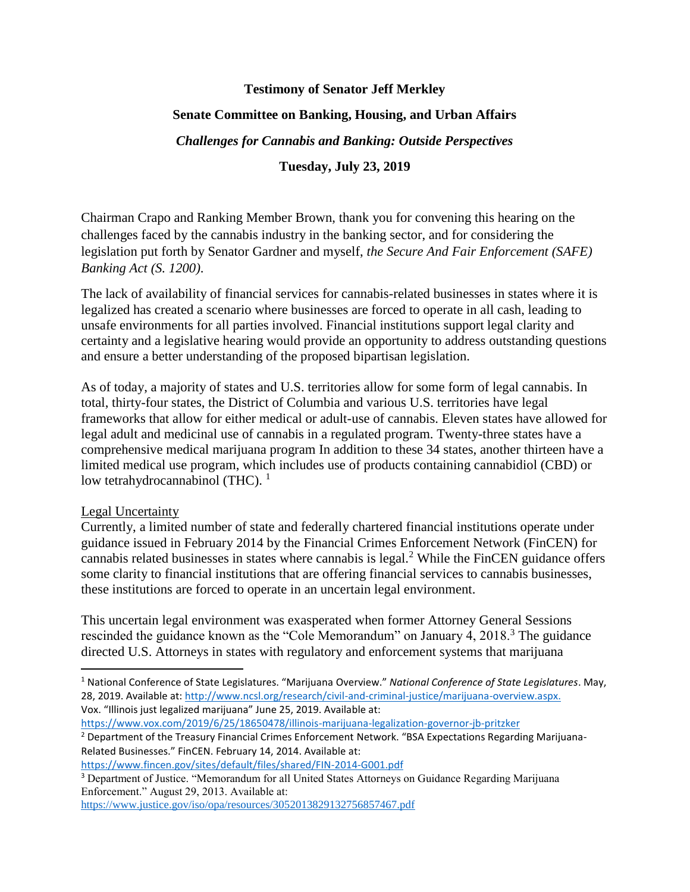## **Testimony of Senator Jeff Merkley**

# **Senate Committee on Banking, Housing, and Urban Affairs**

*Challenges for Cannabis and Banking: Outside Perspectives*

**Tuesday, July 23, 2019**

Chairman Crapo and Ranking Member Brown, thank you for convening this hearing on the challenges faced by the cannabis industry in the banking sector, and for considering the legislation put forth by Senator Gardner and myself, *the Secure And Fair Enforcement (SAFE) Banking Act (S. 1200)*.

The lack of availability of financial services for cannabis-related businesses in states where it is legalized has created a scenario where businesses are forced to operate in all cash, leading to unsafe environments for all parties involved. Financial institutions support legal clarity and certainty and a legislative hearing would provide an opportunity to address outstanding questions and ensure a better understanding of the proposed bipartisan legislation.

As of today, a majority of states and U.S. territories allow for some form of legal cannabis. In total, thirty-four states, the District of Columbia and various U.S. territories have legal frameworks that allow for either medical or adult-use of cannabis. Eleven states have allowed for legal adult and medicinal use of cannabis in a regulated program. Twenty-three states have a comprehensive medical marijuana program In addition to these 34 states, another thirteen have a limited medical use program, which includes use of products containing cannabidiol (CBD) or low tetrahydrocannabinol (THC).  $<sup>1</sup>$ </sup>

### Legal Uncertainty

 $\overline{\phantom{a}}$ 

Currently, a limited number of state and federally chartered financial institutions operate under guidance issued in February 2014 by the Financial Crimes Enforcement Network (FinCEN) for cannabis related businesses in states where cannabis is legal.<sup>2</sup> While the FinCEN guidance offers some clarity to financial institutions that are offering financial services to cannabis businesses, these institutions are forced to operate in an uncertain legal environment.

This uncertain legal environment was exasperated when former Attorney General Sessions rescinded the guidance known as the "Cole Memorandum" on January 4, 2018.<sup>3</sup> The guidance directed U.S. Attorneys in states with regulatory and enforcement systems that marijuana

- <sup>1</sup> National Conference of State Legislatures. "Marijuana Overview." *National Conference of State Legislatures*. May, 28, 2019. Available at: [http://www.ncsl.org/research/civil-and-criminal-justice/marijuana-overview.aspx.](http://www.ncsl.org/research/civil-and-criminal-justice/marijuana-overview.aspx)  Vox. "Illinois just legalized marijuana" June 25, 2019. Available at:
- <https://www.vox.com/2019/6/25/18650478/illinois-marijuana-legalization-governor-jb-pritzker> <sup>2</sup> Department of the Treasury Financial Crimes Enforcement Network. "BSA Expectations Regarding Marijuana-Related Businesses." FinCEN. February 14, 2014. Available at:

<sup>3</sup> Department of Justice. "Memorandum for all United States Attorneys on Guidance Regarding Marijuana Enforcement." August 29, 2013. Available at:

<https://www.justice.gov/iso/opa/resources/3052013829132756857467.pdf>

<https://www.fincen.gov/sites/default/files/shared/FIN-2014-G001.pdf>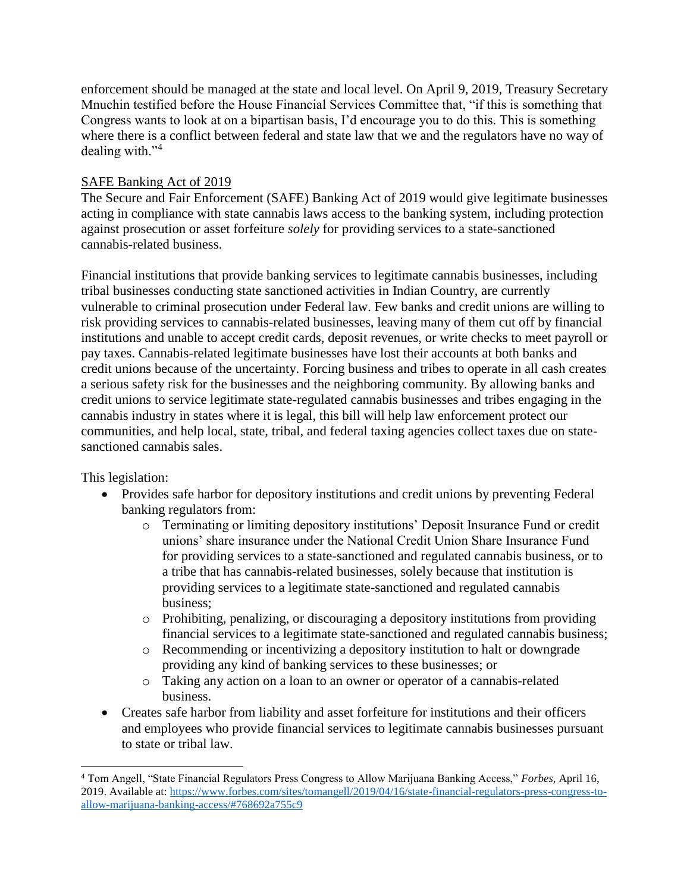enforcement should be managed at the state and local level. On April 9, 2019, Treasury Secretary Mnuchin testified before the House Financial Services Committee that, "if this is something that Congress wants to look at on a bipartisan basis, I'd encourage you to do this. This is something where there is a conflict between federal and state law that we and the regulators have no way of dealing with."<sup>4</sup>

# SAFE Banking Act of 2019

The Secure and Fair Enforcement (SAFE) Banking Act of 2019 would give legitimate businesses acting in compliance with state cannabis laws access to the banking system, including protection against prosecution or asset forfeiture *solely* for providing services to a state-sanctioned cannabis-related business.

Financial institutions that provide banking services to legitimate cannabis businesses, including tribal businesses conducting state sanctioned activities in Indian Country, are currently vulnerable to criminal prosecution under Federal law. Few banks and credit unions are willing to risk providing services to cannabis-related businesses, leaving many of them cut off by financial institutions and unable to accept credit cards, deposit revenues, or write checks to meet payroll or pay taxes. Cannabis-related legitimate businesses have lost their accounts at both banks and credit unions because of the uncertainty. Forcing business and tribes to operate in all cash creates a serious safety risk for the businesses and the neighboring community. By allowing banks and credit unions to service legitimate state-regulated cannabis businesses and tribes engaging in the cannabis industry in states where it is legal, this bill will help law enforcement protect our communities, and help local, state, tribal, and federal taxing agencies collect taxes due on statesanctioned cannabis sales.

This legislation:

 $\overline{\phantom{a}}$ 

- Provides safe harbor for depository institutions and credit unions by preventing Federal banking regulators from:
	- o Terminating or limiting depository institutions' Deposit Insurance Fund or credit unions' share insurance under the National Credit Union Share Insurance Fund for providing services to a state-sanctioned and regulated cannabis business, or to a tribe that has cannabis-related businesses, solely because that institution is providing services to a legitimate state-sanctioned and regulated cannabis business;
	- $\circ$  Prohibiting, penalizing, or discouraging a depository institutions from providing financial services to a legitimate state-sanctioned and regulated cannabis business;
	- o Recommending or incentivizing a depository institution to halt or downgrade providing any kind of banking services to these businesses; or
	- o Taking any action on a loan to an owner or operator of a cannabis-related business.
- Creates safe harbor from liability and asset forfeiture for institutions and their officers and employees who provide financial services to legitimate cannabis businesses pursuant to state or tribal law.

<sup>4</sup> Tom Angell, "State Financial Regulators Press Congress to Allow Marijuana Banking Access," *Forbes,* April 16, 2019. Available at: [https://www.forbes.com/sites/tomangell/2019/04/16/state-financial-regulators-press-congress-to](https://www.forbes.com/sites/tomangell/2019/04/16/state-financial-regulators-press-congress-to-allow-marijuana-banking-access/#768692a755c9)[allow-marijuana-banking-access/#768692a755c9](https://www.forbes.com/sites/tomangell/2019/04/16/state-financial-regulators-press-congress-to-allow-marijuana-banking-access/#768692a755c9)